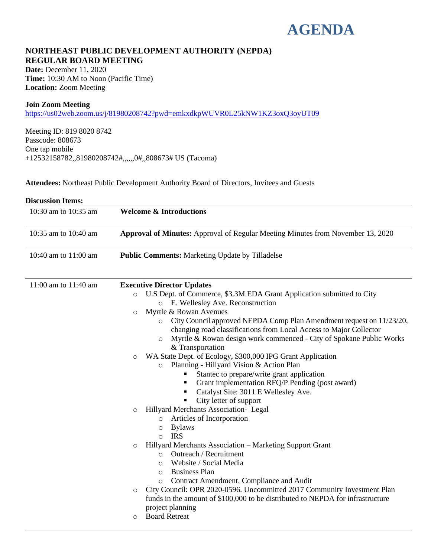## **AGENDA**

## **NORTHEAST PUBLIC DEVELOPMENT AUTHORITY (NEPDA) REGULAR BOARD MEETING**

**Date:** December 11, 2020 **Time:** 10:30 AM to Noon (Pacific Time) **Location:** Zoom Meeting

#### **Join Zoom Meeting**

<https://us02web.zoom.us/j/81980208742?pwd=emkxdkpWUVR0L25kNW1KZ3oxQ3oyUT09>

Meeting ID: 819 8020 8742 Passcode: 808673 One tap mobile +12532158782,,81980208742#,,,,,,0#,,808673# US (Tacoma)

**Attendees:** Northeast Public Development Authority Board of Directors, Invitees and Guests

| <b>Discussion Items:</b> |                                                                                                                                                                                                                                                                                                                                                                                                                                                                                                                                                                                                                                                                                                                                                                                                                                                                                                                                                                                                                                                                                                                                                                                                                                                                                                                                                                                           |
|--------------------------|-------------------------------------------------------------------------------------------------------------------------------------------------------------------------------------------------------------------------------------------------------------------------------------------------------------------------------------------------------------------------------------------------------------------------------------------------------------------------------------------------------------------------------------------------------------------------------------------------------------------------------------------------------------------------------------------------------------------------------------------------------------------------------------------------------------------------------------------------------------------------------------------------------------------------------------------------------------------------------------------------------------------------------------------------------------------------------------------------------------------------------------------------------------------------------------------------------------------------------------------------------------------------------------------------------------------------------------------------------------------------------------------|
| 10:30 am to 10:35 am     | <b>Welcome &amp; Introductions</b>                                                                                                                                                                                                                                                                                                                                                                                                                                                                                                                                                                                                                                                                                                                                                                                                                                                                                                                                                                                                                                                                                                                                                                                                                                                                                                                                                        |
| 10:35 am to 10:40 am     | <b>Approval of Minutes:</b> Approval of Regular Meeting Minutes from November 13, 2020                                                                                                                                                                                                                                                                                                                                                                                                                                                                                                                                                                                                                                                                                                                                                                                                                                                                                                                                                                                                                                                                                                                                                                                                                                                                                                    |
| 10:40 am to 11:00 am     | <b>Public Comments:</b> Marketing Update by Tilladelse                                                                                                                                                                                                                                                                                                                                                                                                                                                                                                                                                                                                                                                                                                                                                                                                                                                                                                                                                                                                                                                                                                                                                                                                                                                                                                                                    |
| 11:00 am to 11:40 am     | <b>Executive Director Updates</b><br>U.S Dept. of Commerce, \$3.3M EDA Grant Application submitted to City<br>$\circ$<br>o E. Wellesley Ave. Reconstruction<br>Myrtle & Rowan Avenues<br>$\circ$<br>City Council approved NEPDA Comp Plan Amendment request on 11/23/20,<br>$\circ$<br>changing road classifications from Local Access to Major Collector<br>Myrtle & Rowan design work commenced - City of Spokane Public Works<br>$\circ$<br>& Transportation<br>WA State Dept. of Ecology, \$300,000 IPG Grant Application<br>$\circ$<br>o Planning - Hillyard Vision & Action Plan<br>Stantec to prepare/write grant application<br>Grant implementation RFQ/P Pending (post award)<br>Catalyst Site: 3011 E Wellesley Ave.<br>City letter of support<br>٠<br>Hillyard Merchants Association- Legal<br>$\circ$<br>Articles of Incorporation<br>$\circ$<br><b>Bylaws</b><br>$\circ$<br><b>IRS</b><br>$\circ$<br>Hillyard Merchants Association – Marketing Support Grant<br>$\circ$<br>Outreach / Recruitment<br>$\circ$<br>Website / Social Media<br>$\circ$<br><b>Business Plan</b><br>$\circ$<br>Contract Amendment, Compliance and Audit<br>$\circ$<br>City Council: OPR 2020-0596. Uncommitted 2017 Community Investment Plan<br>$\circ$<br>funds in the amount of \$100,000 to be distributed to NEPDA for infrastructure<br>project planning<br><b>Board Retreat</b><br>$\circ$ |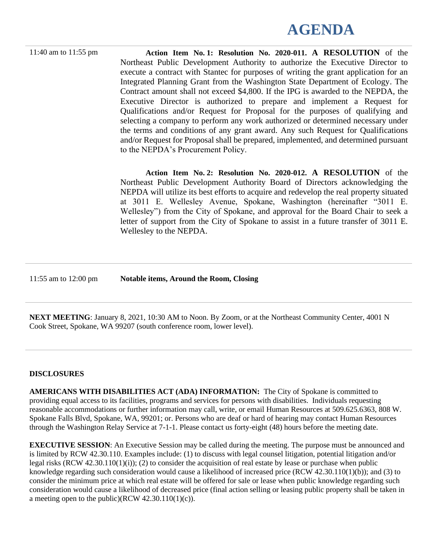# **AGENDA**

11:40 am to 11:55 pm **Action Item No. 1: Resolution No. 2020-011. A RESOLUTION** of the Northeast Public Development Authority to authorize the Executive Director to execute a contract with Stantec for purposes of writing the grant application for an Integrated Planning Grant from the Washington State Department of Ecology. The Contract amount shall not exceed \$4,800. If the IPG is awarded to the NEPDA, the Executive Director is authorized to prepare and implement a Request for Qualifications and/or Request for Proposal for the purposes of qualifying and selecting a company to perform any work authorized or determined necessary under the terms and conditions of any grant award. Any such Request for Qualifications and/or Request for Proposal shall be prepared, implemented, and determined pursuant to the NEPDA's Procurement Policy.

> **Action Item No. 2: Resolution No. 2020-012. A RESOLUTION** of the Northeast Public Development Authority Board of Directors acknowledging the NEPDA will utilize its best efforts to acquire and redevelop the real property situated at 3011 E. Wellesley Avenue, Spokane, Washington (hereinafter "3011 E. Wellesley") from the City of Spokane, and approval for the Board Chair to seek a letter of support from the City of Spokane to assist in a future transfer of 3011 E. Wellesley to the NEPDA.

11:55 am to 12:00 pm **Notable items, Around the Room, Closing**

**NEXT MEETING**: January 8, 2021, 10:30 AM to Noon. By Zoom, or at the Northeast Community Center, 4001 N Cook Street, Spokane, WA 99207 (south conference room, lower level).

## **DISCLOSURES**

**AMERICANS WITH DISABILITIES ACT (ADA) INFORMATION:** The City of Spokane is committed to providing equal access to its facilities, programs and services for persons with disabilities. Individuals requesting reasonable accommodations or further information may call, write, or email Human Resources at 509.625.6363, 808 W. Spokane Falls Blvd, Spokane, WA, 99201; or. Persons who are deaf or hard of hearing may contact Human Resources through the Washington Relay Service at 7-1-1. Please contact us forty-eight (48) hours before the meeting date.

**EXECUTIVE SESSION:** An Executive Session may be called during the meeting. The purpose must be announced and is limited by RCW 42.30.110. Examples include: (1) to discuss with legal counsel litigation, potential litigation and/or legal risks  $(RCW 42.30.110(1)(i))$ ; (2) to consider the acquisition of real estate by lease or purchase when public knowledge regarding such consideration would cause a likelihood of increased price (RCW 42.30.110(1)(b)); and (3) to consider the minimum price at which real estate will be offered for sale or lease when public knowledge regarding such consideration would cause a likelihood of decreased price (final action selling or leasing public property shall be taken in a meeting open to the public)(RCW  $42.30.110(1)(c)$ ).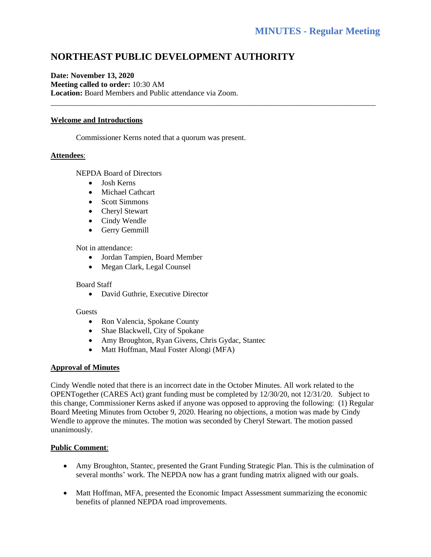## **NORTHEAST PUBLIC DEVELOPMENT AUTHORITY**

\_\_\_\_\_\_\_\_\_\_\_\_\_\_\_\_\_\_\_\_\_\_\_\_\_\_\_\_\_\_\_\_\_\_\_\_\_\_\_\_\_\_\_\_\_\_\_\_\_\_\_\_\_\_\_\_\_\_\_\_\_\_\_\_\_\_\_\_\_\_\_\_\_\_\_\_\_\_\_\_\_\_\_\_

## **Date: November 13, 2020 Meeting called to order:** 10:30 AM **Location:** Board Members and Public attendance via Zoom.

## **Welcome and Introductions**

Commissioner Kerns noted that a quorum was present.

#### **Attendees**:

NEPDA Board of Directors

- Josh Kerns
- Michael Cathcart
- Scott Simmons
- Cheryl Stewart
- Cindy Wendle
- Gerry Gemmill

#### Not in attendance:

- Jordan Tampien, Board Member
- Megan Clark, Legal Counsel

#### Board Staff

• David Guthrie, Executive Director

#### **Guests**

- Ron Valencia, Spokane County
- Shae Blackwell, City of Spokane
- Amy Broughton, Ryan Givens, Chris Gydac, Stantec
- Matt Hoffman, Maul Foster Alongi (MFA)

#### **Approval of Minutes**

Cindy Wendle noted that there is an incorrect date in the October Minutes. All work related to the OPENTogether (CARES Act) grant funding must be completed by 12/30/20, not 12/31/20. Subject to this change, Commissioner Kerns asked if anyone was opposed to approving the following: (1) Regular Board Meeting Minutes from October 9, 2020. Hearing no objections, a motion was made by Cindy Wendle to approve the minutes. The motion was seconded by Cheryl Stewart. The motion passed unanimously.

#### **Public Comment**:

- Amy Broughton, Stantec, presented the Grant Funding Strategic Plan. This is the culmination of several months' work. The NEPDA now has a grant funding matrix aligned with our goals.
- Matt Hoffman, MFA, presented the Economic Impact Assessment summarizing the economic benefits of planned NEPDA road improvements.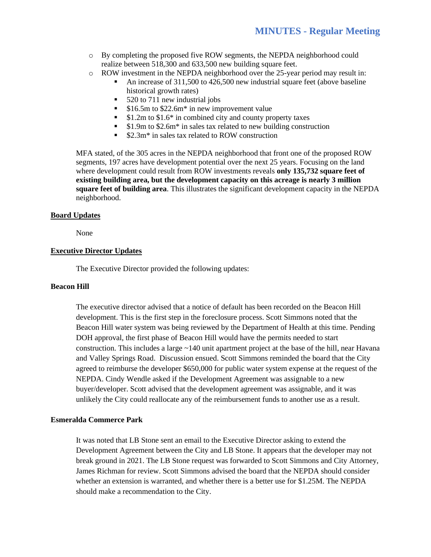- o By completing the proposed five ROW segments, the NEPDA neighborhood could realize between 518,300 and 633,500 new building square feet.
- o ROW investment in the NEPDA neighborhood over the 25-year period may result in:
	- An increase of 311,500 to 426,500 new industrial square feet (above baseline historical growth rates)
	- 520 to 711 new industrial jobs
	- \$16.5m to \$22.6m<sup>\*</sup> in new improvement value
	- \$1.2m to \$1.6<sup>\*</sup> in combined city and county property taxes
	- \$1.9m to \$2.6m<sup>\*</sup> in sales tax related to new building construction
	- \$2.3m<sup>\*</sup> in sales tax related to ROW construction

MFA stated, of the 305 acres in the NEPDA neighborhood that front one of the proposed ROW segments, 197 acres have development potential over the next 25 years. Focusing on the land where development could result from ROW investments reveals **only 135,732 square feet of existing building area, but the development capacity on this acreage is nearly 3 million square feet of building area**. This illustrates the significant development capacity in the NEPDA neighborhood.

#### **Board Updates**

None

#### **Executive Director Updates**

The Executive Director provided the following updates:

#### **Beacon Hill**

The executive director advised that a notice of default has been recorded on the Beacon Hill development. This is the first step in the foreclosure process. Scott Simmons noted that the Beacon Hill water system was being reviewed by the Department of Health at this time. Pending DOH approval, the first phase of Beacon Hill would have the permits needed to start construction. This includes a large ~140 unit apartment project at the base of the hill, near Havana and Valley Springs Road. Discussion ensued. Scott Simmons reminded the board that the City agreed to reimburse the developer \$650,000 for public water system expense at the request of the NEPDA. Cindy Wendle asked if the Development Agreement was assignable to a new buyer/developer. Scott advised that the development agreement was assignable, and it was unlikely the City could reallocate any of the reimbursement funds to another use as a result.

#### **Esmeralda Commerce Park**

It was noted that LB Stone sent an email to the Executive Director asking to extend the Development Agreement between the City and LB Stone. It appears that the developer may not break ground in 2021. The LB Stone request was forwarded to Scott Simmons and City Attorney, James Richman for review. Scott Simmons advised the board that the NEPDA should consider whether an extension is warranted, and whether there is a better use for \$1.25M. The NEPDA should make a recommendation to the City.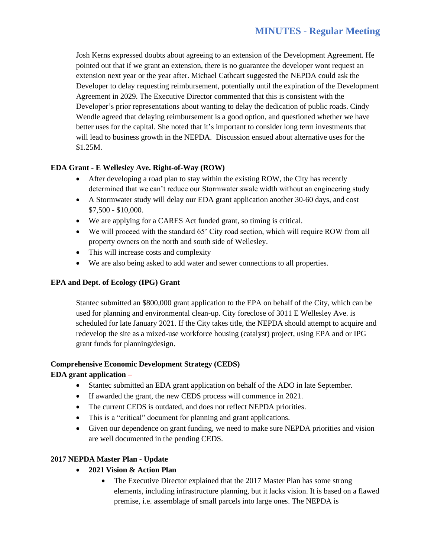Josh Kerns expressed doubts about agreeing to an extension of the Development Agreement. He pointed out that if we grant an extension, there is no guarantee the developer wont request an extension next year or the year after. Michael Cathcart suggested the NEPDA could ask the Developer to delay requesting reimbursement, potentially until the expiration of the Development Agreement in 2029. The Executive Director commented that this is consistent with the Developer's prior representations about wanting to delay the dedication of public roads. Cindy Wendle agreed that delaying reimbursement is a good option, and questioned whether we have better uses for the capital. She noted that it's important to consider long term investments that will lead to business growth in the NEPDA. Discussion ensued about alternative uses for the \$1.25M.

## **EDA Grant - E Wellesley Ave. Right-of-Way (ROW)**

- After developing a road plan to stay within the existing ROW, the City has recently determined that we can't reduce our Stormwater swale width without an engineering study
- A Stormwater study will delay our EDA grant application another 30-60 days, and cost \$7,500 - \$10,000.
- We are applying for a CARES Act funded grant, so timing is critical.
- We will proceed with the standard 65' City road section, which will require ROW from all property owners on the north and south side of Wellesley.
- This will increase costs and complexity
- We are also being asked to add water and sewer connections to all properties.

## **EPA and Dept. of Ecology (IPG) Grant**

Stantec submitted an \$800,000 grant application to the EPA on behalf of the City, which can be used for planning and environmental clean-up. City foreclose of 3011 E Wellesley Ave. is scheduled for late January 2021. If the City takes title, the NEPDA should attempt to acquire and redevelop the site as a mixed-use workforce housing (catalyst) project, using EPA and or IPG grant funds for planning/design.

## **Comprehensive Economic Development Strategy (CEDS)**

## **EDA grant application –**

- Stantec submitted an EDA grant application on behalf of the ADO in late September.
- If awarded the grant, the new CEDS process will commence in 2021.
- The current CEDS is outdated, and does not reflect NEPDA priorities.
- This is a "critical" document for planning and grant applications.
- Given our dependence on grant funding, we need to make sure NEPDA priorities and vision are well documented in the pending CEDS.

## **2017 NEPDA Master Plan - Update**

- **2021 Vision & Action Plan** 
	- The Executive Director explained that the 2017 Master Plan has some strong elements, including infrastructure planning, but it lacks vision. It is based on a flawed premise, i.e. assemblage of small parcels into large ones. The NEPDA is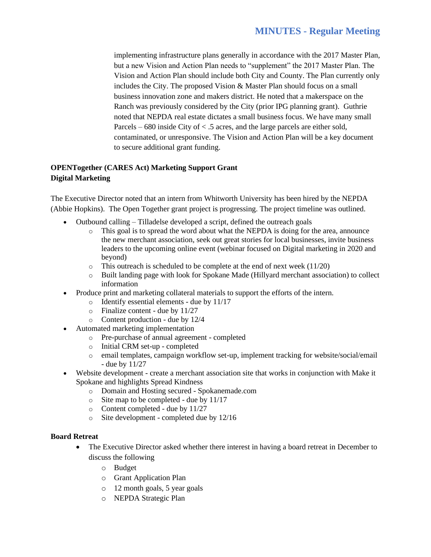implementing infrastructure plans generally in accordance with the 2017 Master Plan, but a new Vision and Action Plan needs to "supplement" the 2017 Master Plan. The Vision and Action Plan should include both City and County. The Plan currently only includes the City. The proposed Vision & Master Plan should focus on a small business innovation zone and makers district. He noted that a makerspace on the Ranch was previously considered by the City (prior IPG planning grant). Guthrie noted that NEPDA real estate dictates a small business focus. We have many small Parcels – 680 inside City of < .5 acres, and the large parcels are either sold, contaminated, or unresponsive. The Vision and Action Plan will be a key document to secure additional grant funding.

## **OPENTogether (CARES Act) Marketing Support Grant Digital Marketing**

The Executive Director noted that an intern from Whitworth University has been hired by the NEPDA (Abbie Hopkins). The Open Together grant project is progressing. The project timeline was outlined.

- Outbound calling Tilladelse developed a script, defined the outreach goals
	- o This goal is to spread the word about what the NEPDA is doing for the area, announce the new merchant association, seek out great stories for local businesses, invite business leaders to the upcoming online event (webinar focused on Digital marketing in 2020 and beyond)
	- $\circ$  This outreach is scheduled to be complete at the end of next week (11/20)
	- o Built landing page with look for Spokane Made (Hillyard merchant association) to collect information
- Produce print and marketing collateral materials to support the efforts of the intern.
	- o Identify essential elements due by 11/17
	- o Finalize content due by 11/27
	- o Content production due by 12/4
- Automated marketing implementation
	- o Pre-purchase of annual agreement completed
	- o Initial CRM set-up completed
	- o email templates, campaign workflow set-up, implement tracking for website/social/email - due by 11/27
- Website development create a merchant association site that works in conjunction with Make it Spokane and highlights Spread Kindness
	- o Domain and Hosting secured Spokanemade.com
	- o Site map to be completed due by 11/17
	- o Content completed due by 11/27
	- o Site development completed due by 12/16

#### **Board Retreat**

- The Executive Director asked whether there interest in having a board retreat in December to discuss the following
	- o Budget
	- o Grant Application Plan
	- o 12 month goals, 5 year goals
	- o NEPDA Strategic Plan